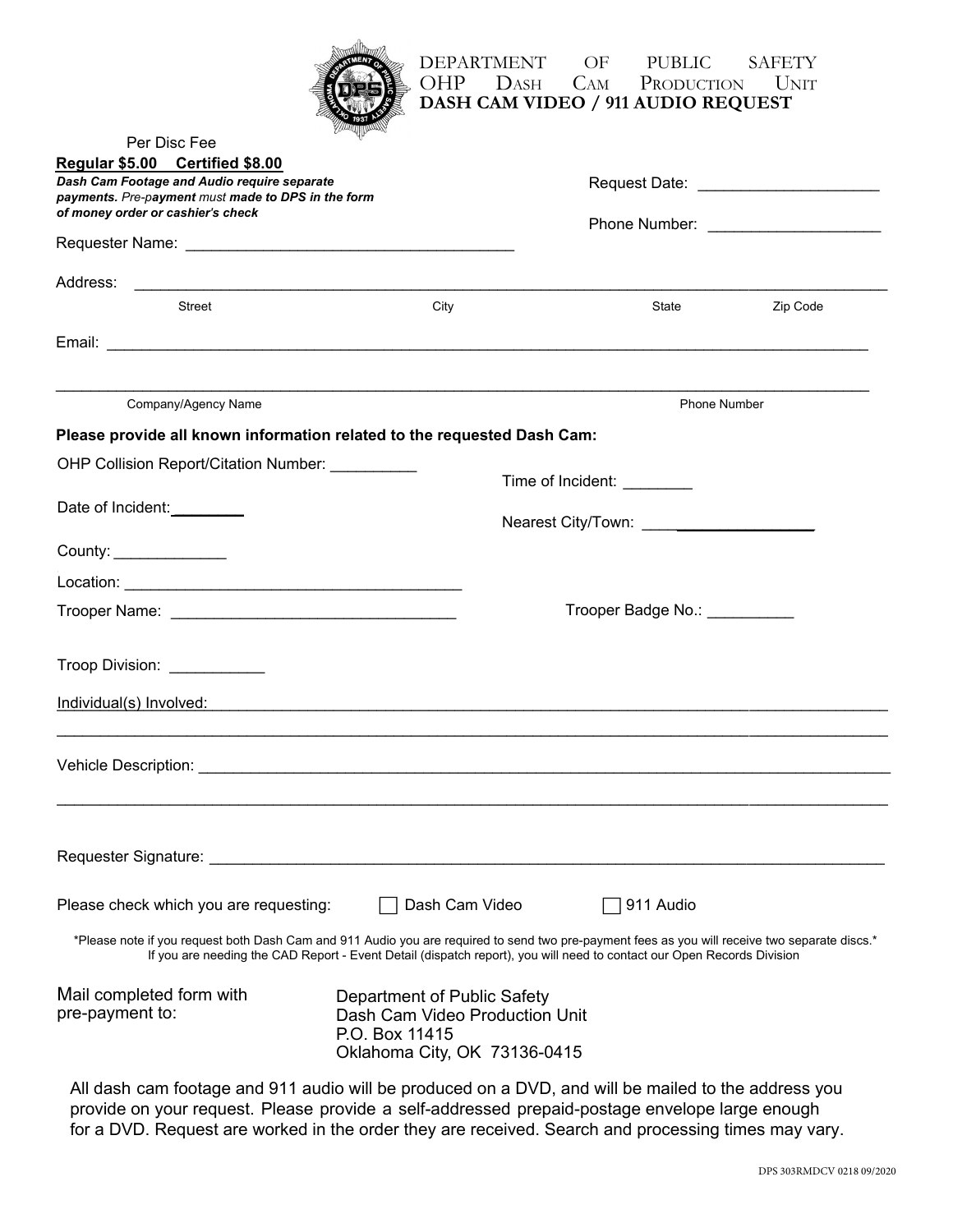|  | <b>WELLING</b> |  |
|--|----------------|--|
|  |                |  |
|  |                |  |
|  | 937            |  |
|  | Winner         |  |

## DEPARTMENT OF PUBLIC SAFETY OHP DASH CAM PRODUCTION UNIT **DASH CAM VIDEO** / 911 AUDIO REQUEST

| Per Disc Fee                                                                                                                                                   |                                                                                                                                                                                                                                                                          |                                            |          |  |
|----------------------------------------------------------------------------------------------------------------------------------------------------------------|--------------------------------------------------------------------------------------------------------------------------------------------------------------------------------------------------------------------------------------------------------------------------|--------------------------------------------|----------|--|
| Regular \$5.00 Certified \$8.00<br>Dash Cam Footage and Audio require separate                                                                                 |                                                                                                                                                                                                                                                                          |                                            |          |  |
| payments. Pre-payment must made to DPS in the form                                                                                                             |                                                                                                                                                                                                                                                                          |                                            |          |  |
| of money order or cashier's check                                                                                                                              |                                                                                                                                                                                                                                                                          |                                            |          |  |
|                                                                                                                                                                |                                                                                                                                                                                                                                                                          |                                            |          |  |
|                                                                                                                                                                |                                                                                                                                                                                                                                                                          |                                            |          |  |
| <b>Street</b>                                                                                                                                                  | City                                                                                                                                                                                                                                                                     | State                                      | Zip Code |  |
|                                                                                                                                                                |                                                                                                                                                                                                                                                                          |                                            |          |  |
|                                                                                                                                                                |                                                                                                                                                                                                                                                                          |                                            |          |  |
| Company/Agency Name                                                                                                                                            |                                                                                                                                                                                                                                                                          | <b>Phone Number</b>                        |          |  |
|                                                                                                                                                                | Please provide all known information related to the requested Dash Cam:                                                                                                                                                                                                  |                                            |          |  |
| OHP Collision Report/Citation Number: __________                                                                                                               |                                                                                                                                                                                                                                                                          |                                            |          |  |
|                                                                                                                                                                |                                                                                                                                                                                                                                                                          | Time of Incident: _________                |          |  |
| Date of Incident:                                                                                                                                              |                                                                                                                                                                                                                                                                          | Nearest City/Town: _______________________ |          |  |
|                                                                                                                                                                |                                                                                                                                                                                                                                                                          |                                            |          |  |
| County: ________________                                                                                                                                       |                                                                                                                                                                                                                                                                          |                                            |          |  |
|                                                                                                                                                                |                                                                                                                                                                                                                                                                          |                                            |          |  |
|                                                                                                                                                                |                                                                                                                                                                                                                                                                          | Trooper Badge No.: ___________             |          |  |
|                                                                                                                                                                |                                                                                                                                                                                                                                                                          |                                            |          |  |
| Troop Division: ____________                                                                                                                                   |                                                                                                                                                                                                                                                                          |                                            |          |  |
|                                                                                                                                                                | Individual(s) Involved: The Contract of the Contract of the Contract of the Contract of the Contract of the Contract of the Contract of the Contract of the Contract of the Contract of the Contract of the Contract of the Co                                           |                                            |          |  |
|                                                                                                                                                                |                                                                                                                                                                                                                                                                          |                                            |          |  |
|                                                                                                                                                                |                                                                                                                                                                                                                                                                          |                                            |          |  |
|                                                                                                                                                                |                                                                                                                                                                                                                                                                          |                                            |          |  |
|                                                                                                                                                                |                                                                                                                                                                                                                                                                          |                                            |          |  |
|                                                                                                                                                                |                                                                                                                                                                                                                                                                          |                                            |          |  |
| Requester Signature: _________________                                                                                                                         |                                                                                                                                                                                                                                                                          |                                            |          |  |
| Please check which you are requesting:                                                                                                                         | Dash Cam Video                                                                                                                                                                                                                                                           | 911 Audio                                  |          |  |
|                                                                                                                                                                | *Please note if you request both Dash Cam and 911 Audio you are required to send two pre-payment fees as you will receive two separate discs.*<br>If you are needing the CAD Report - Event Detail (dispatch report), you will need to contact our Open Records Division |                                            |          |  |
| Mail completed form with<br>Department of Public Safety<br>pre-payment to:<br>Dash Cam Video Production Unit<br>P.O. Box 11415<br>Oklahoma City, OK 73136-0415 |                                                                                                                                                                                                                                                                          |                                            |          |  |
|                                                                                                                                                                |                                                                                                                                                                                                                                                                          |                                            |          |  |

All dash cam footage and 911 audio will be produced on a DVD, and will be mailed to the address you provide on your request. Please provide a self-addressed prepaid-postage envelope large enough for a DVD. Request are worked in the order they are received. Search and processing times may vary.